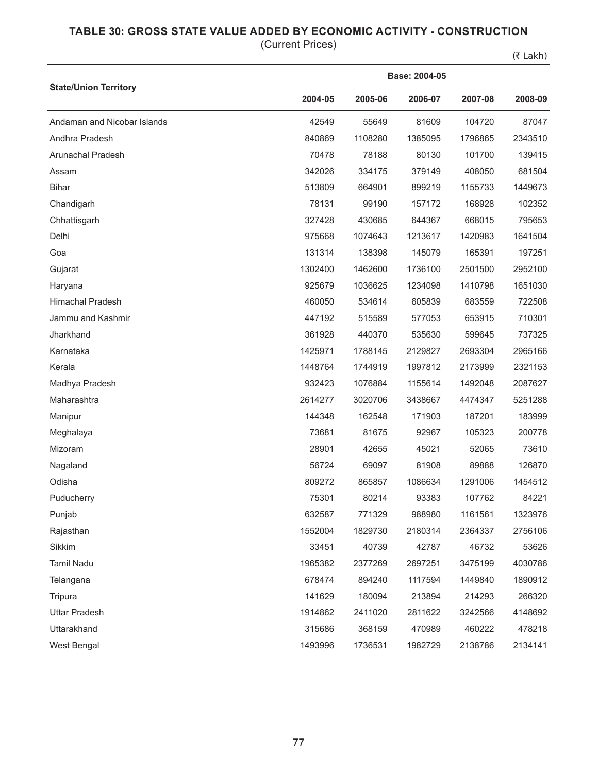## **TABLE 30: GROSS STATE VALUE ADDED BY ECONOMIC ACTIVITY - CONSTRUCTION**

(Current Prices)

 $(5$  Lakh)

|                              | Base: 2004-05 |         |         |         |         |  |  |
|------------------------------|---------------|---------|---------|---------|---------|--|--|
| <b>State/Union Territory</b> | 2004-05       | 2005-06 | 2006-07 | 2007-08 | 2008-09 |  |  |
| Andaman and Nicobar Islands  | 42549         | 55649   | 81609   | 104720  | 87047   |  |  |
| Andhra Pradesh               | 840869        | 1108280 | 1385095 | 1796865 | 2343510 |  |  |
| Arunachal Pradesh            | 70478         | 78188   | 80130   | 101700  | 139415  |  |  |
| Assam                        | 342026        | 334175  | 379149  | 408050  | 681504  |  |  |
| <b>Bihar</b>                 | 513809        | 664901  | 899219  | 1155733 | 1449673 |  |  |
| Chandigarh                   | 78131         | 99190   | 157172  | 168928  | 102352  |  |  |
| Chhattisgarh                 | 327428        | 430685  | 644367  | 668015  | 795653  |  |  |
| Delhi                        | 975668        | 1074643 | 1213617 | 1420983 | 1641504 |  |  |
| Goa                          | 131314        | 138398  | 145079  | 165391  | 197251  |  |  |
| Gujarat                      | 1302400       | 1462600 | 1736100 | 2501500 | 2952100 |  |  |
| Haryana                      | 925679        | 1036625 | 1234098 | 1410798 | 1651030 |  |  |
| <b>Himachal Pradesh</b>      | 460050        | 534614  | 605839  | 683559  | 722508  |  |  |
| Jammu and Kashmir            | 447192        | 515589  | 577053  | 653915  | 710301  |  |  |
| Jharkhand                    | 361928        | 440370  | 535630  | 599645  | 737325  |  |  |
| Karnataka                    | 1425971       | 1788145 | 2129827 | 2693304 | 2965166 |  |  |
| Kerala                       | 1448764       | 1744919 | 1997812 | 2173999 | 2321153 |  |  |
| Madhya Pradesh               | 932423        | 1076884 | 1155614 | 1492048 | 2087627 |  |  |
| Maharashtra                  | 2614277       | 3020706 | 3438667 | 4474347 | 5251288 |  |  |
| Manipur                      | 144348        | 162548  | 171903  | 187201  | 183999  |  |  |
| Meghalaya                    | 73681         | 81675   | 92967   | 105323  | 200778  |  |  |
| Mizoram                      | 28901         | 42655   | 45021   | 52065   | 73610   |  |  |
| Nagaland                     | 56724         | 69097   | 81908   | 89888   | 126870  |  |  |
| Odisha                       | 809272        | 865857  | 1086634 | 1291006 | 1454512 |  |  |
| Puducherry                   | 75301         | 80214   | 93383   | 107762  | 84221   |  |  |
| Punjab                       | 632587        | 771329  | 988980  | 1161561 | 1323976 |  |  |
| Rajasthan                    | 1552004       | 1829730 | 2180314 | 2364337 | 2756106 |  |  |
| Sikkim                       | 33451         | 40739   | 42787   | 46732   | 53626   |  |  |
| Tamil Nadu                   | 1965382       | 2377269 | 2697251 | 3475199 | 4030786 |  |  |
| Telangana                    | 678474        | 894240  | 1117594 | 1449840 | 1890912 |  |  |
| Tripura                      | 141629        | 180094  | 213894  | 214293  | 266320  |  |  |
| <b>Uttar Pradesh</b>         | 1914862       | 2411020 | 2811622 | 3242566 | 4148692 |  |  |
| Uttarakhand                  | 315686        | 368159  | 470989  | 460222  | 478218  |  |  |
| West Bengal                  | 1493996       | 1736531 | 1982729 | 2138786 | 2134141 |  |  |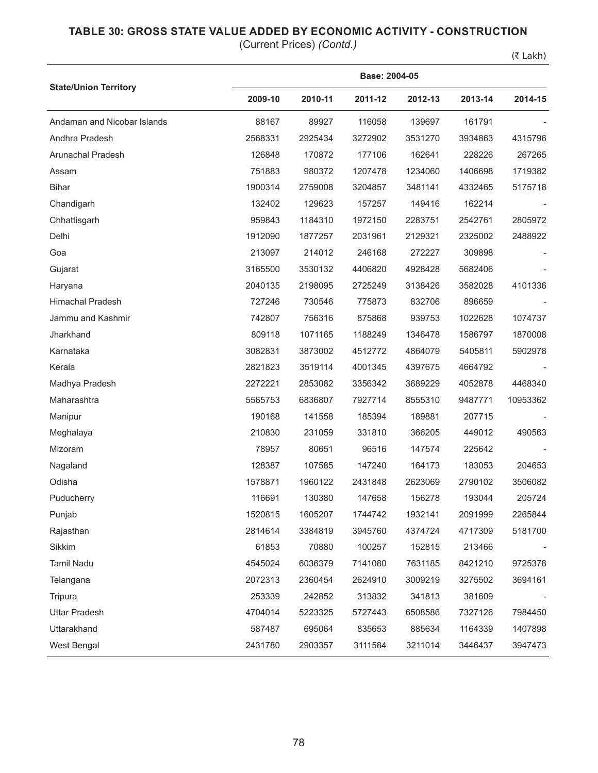## **TABLE 30: GROSS STATE VALUE ADDED BY ECONOMIC ACTIVITY - CONSTRUCTION**

(Current Prices) *(Contd.)*

 $(5$  Lakh)

|                              | Base: 2004-05 |         |         |         |         |          |  |  |
|------------------------------|---------------|---------|---------|---------|---------|----------|--|--|
| <b>State/Union Territory</b> | 2009-10       | 2010-11 | 2011-12 | 2012-13 | 2013-14 | 2014-15  |  |  |
| Andaman and Nicobar Islands  | 88167         | 89927   | 116058  | 139697  | 161791  |          |  |  |
| Andhra Pradesh               | 2568331       | 2925434 | 3272902 | 3531270 | 3934863 | 4315796  |  |  |
| Arunachal Pradesh            | 126848        | 170872  | 177106  | 162641  | 228226  | 267265   |  |  |
| Assam                        | 751883        | 980372  | 1207478 | 1234060 | 1406698 | 1719382  |  |  |
| <b>Bihar</b>                 | 1900314       | 2759008 | 3204857 | 3481141 | 4332465 | 5175718  |  |  |
| Chandigarh                   | 132402        | 129623  | 157257  | 149416  | 162214  |          |  |  |
| Chhattisgarh                 | 959843        | 1184310 | 1972150 | 2283751 | 2542761 | 2805972  |  |  |
| Delhi                        | 1912090       | 1877257 | 2031961 | 2129321 | 2325002 | 2488922  |  |  |
| Goa                          | 213097        | 214012  | 246168  | 272227  | 309898  |          |  |  |
| Gujarat                      | 3165500       | 3530132 | 4406820 | 4928428 | 5682406 |          |  |  |
| Haryana                      | 2040135       | 2198095 | 2725249 | 3138426 | 3582028 | 4101336  |  |  |
| Himachal Pradesh             | 727246        | 730546  | 775873  | 832706  | 896659  |          |  |  |
| Jammu and Kashmir            | 742807        | 756316  | 875868  | 939753  | 1022628 | 1074737  |  |  |
| Jharkhand                    | 809118        | 1071165 | 1188249 | 1346478 | 1586797 | 1870008  |  |  |
| Karnataka                    | 3082831       | 3873002 | 4512772 | 4864079 | 5405811 | 5902978  |  |  |
| Kerala                       | 2821823       | 3519114 | 4001345 | 4397675 | 4664792 |          |  |  |
| Madhya Pradesh               | 2272221       | 2853082 | 3356342 | 3689229 | 4052878 | 4468340  |  |  |
| Maharashtra                  | 5565753       | 6836807 | 7927714 | 8555310 | 9487771 | 10953362 |  |  |
| Manipur                      | 190168        | 141558  | 185394  | 189881  | 207715  |          |  |  |
| Meghalaya                    | 210830        | 231059  | 331810  | 366205  | 449012  | 490563   |  |  |
| Mizoram                      | 78957         | 80651   | 96516   | 147574  | 225642  |          |  |  |
| Nagaland                     | 128387        | 107585  | 147240  | 164173  | 183053  | 204653   |  |  |
| Odisha                       | 1578871       | 1960122 | 2431848 | 2623069 | 2790102 | 3506082  |  |  |
| Puducherry                   | 116691        | 130380  | 147658  | 156278  | 193044  | 205724   |  |  |
| Punjab                       | 1520815       | 1605207 | 1744742 | 1932141 | 2091999 | 2265844  |  |  |
| Rajasthan                    | 2814614       | 3384819 | 3945760 | 4374724 | 4717309 | 5181700  |  |  |
| Sikkim                       | 61853         | 70880   | 100257  | 152815  | 213466  |          |  |  |
| Tamil Nadu                   | 4545024       | 6036379 | 7141080 | 7631185 | 8421210 | 9725378  |  |  |
| Telangana                    | 2072313       | 2360454 | 2624910 | 3009219 | 3275502 | 3694161  |  |  |
| Tripura                      | 253339        | 242852  | 313832  | 341813  | 381609  |          |  |  |
| <b>Uttar Pradesh</b>         | 4704014       | 5223325 | 5727443 | 6508586 | 7327126 | 7984450  |  |  |
| Uttarakhand                  | 587487        | 695064  | 835653  | 885634  | 1164339 | 1407898  |  |  |
| West Bengal                  | 2431780       | 2903357 | 3111584 | 3211014 | 3446437 | 3947473  |  |  |